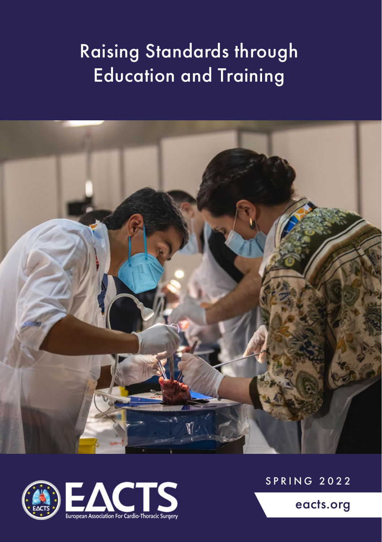# Raising Standards through Education and Training





SPRING 2022

[eacts.org](http://www.eacts.org)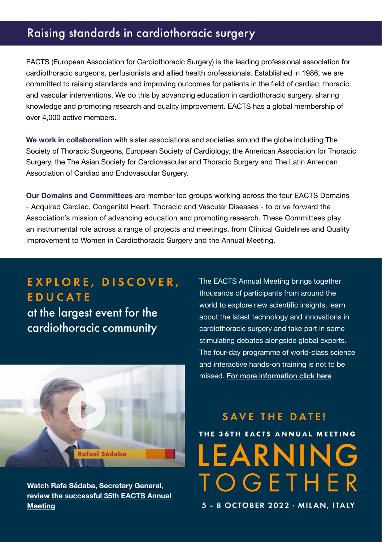## Raising standards in cardiothoracic surgery

EACTS (European Association for Cardiothoracic Surgery) is the leading professional association for cardiothoracic surgeons, perfusionists and allied health professionals. Established in 1986, we are committed to raising standards and improving outcomes for patients in the field of cardiac, thoracic and vascular interventions. We do this by advancing education in cardiothoracic surgery, sharing knowledge and promoting research and quality improvement. EACTS has a global membership of over 4,000 active members.

**We work in collaboration** with sister associations and societies around the globe including The Society of Thoracic Surgeons, European Society of Cardiology, the American Association for Thoracic Surgery, the The Asian Society for Cardiovascular and Thoracic Surgery and The Latin American Association of Cardiac and Endovascular Surgery.

**Our Domains and Committees** are member led groups working across the four EACTS Domains - Acquired Cardiac, Congenital Heart, Thoracic and Vascular Diseases - to drive forward the Association's mission of advancing education and promoting research. These Committees play an instrumental role across a range of projects and meetings, from Clinical Guidelines and Quality Improvement to Women in Cardiothoracic Surgery and the Annual Meeting.

# EXPLORE, DISCOVER, EDUCATE

at the largest event for the cardiothoracic community



**[Watch Rafa Sádaba, Secretary General,](https://www.youtube.com/watch?v=vxBj7oUyBMk) [review the successful 35th EACTS Annual](https://www.youtube.com/watch?v=aHRcniBsvak)  [Meeting](https://www.youtube.com/watch?v=vxBj7oUyBMk)**

The EACTS Annual Meeting brings together thousands of participants from around the world to explore new scientific insights, learn about the latest technology and innovations in cardiothoracic surgery and take part in some stimulating debates alongside global experts. The four-day programme of world-class science and interactive hands-on training is not to be missed. [For more information click here](http://www.eacts.org/annual-meeting/)

# SAVE THE DATE! THE 36TH EACTS ANNUAL MEETING LEARNING **TOGETHER**

5 - 8 OCTOBER 2022 · MILAN, ITALY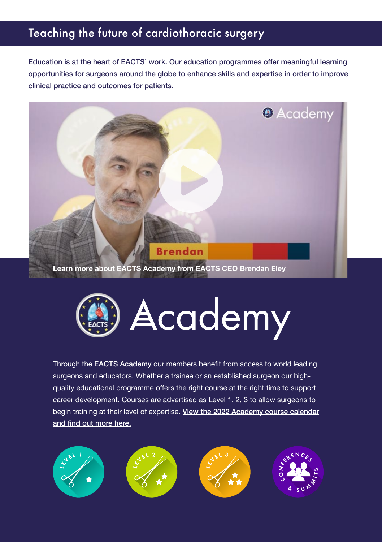# Teaching the future of cardiothoracic surgery

Education is at the heart of EACTS' work. Our education programmes offer meaningful learning opportunities for surgeons around the globe to enhance skills and expertise in order to improve clinical practice and outcomes for patients.





Through the EACTS Academy our members benefit from access to world leading surgeons and educators. Whether a trainee or an established surgeon our highquality educational programme offers the right course at the right time to support career development. Courses are advertised as Level 1, 2, 3 to allow surgeons to begin training at their level of expertise. [View the 2022 Academy course calendar](https://www.eacts.org/educational-events/programme/) [and find out more here.](https://www.eacts.org/educational-events/programme/)

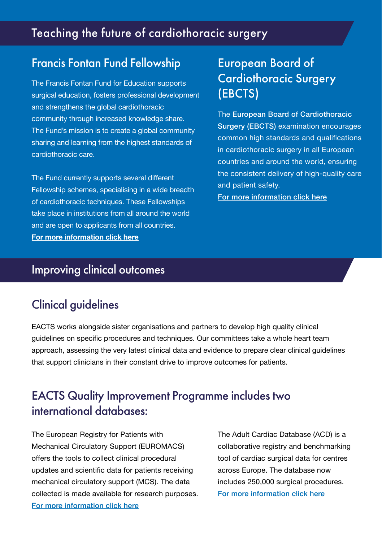## Teaching the future of cardiothoracic surgery

#### Francis Fontan Fund Fellowship European Board of

The Francis Fontan Fund for Education supports surgical education, fosters professional development and strengthens the global cardiothoracic community through increased knowledge share. The Fund's mission is to create a global community sharing and learning from the highest standards of cardiothoracic care.

The Fund currently supports several different Fellowship schemes, specialising in a wide breadth of cardiothoracic techniques. These Fellowships take place in institutions from all around the world and are open to applicants from all countries. **[For more information click here](http://www.eacts.org/the-association/francisfontanfund/)**

# Cardiothoracic Surgery (EBCTS)

The European Board of Cardiothoracic Surgery (EBCTS) examination encourages common high standards and qualifications in cardiothoracic surgery in all European countries and around the world, ensuring the consistent delivery of high-quality care and patient safety.

[For more information click here](http://www.ebcts.org/)

#### Improving clinical outcomes

#### Clinical guidelines

EACTS works alongside sister organisations and partners to develop high quality clinical guidelines on specific procedures and techniques. Our committees take a whole heart team approach, assessing the very latest clinical data and evidence to prepare clear clinical guidelines that support clinicians in their constant drive to improve outcomes for patients.

## EACTS Quality Improvement Programme includes two international databases:

The European Registry for Patients with Mechanical Circulatory Support (EUROMACS) offers the tools to collect clinical procedural updates and scientific data for patients receiving mechanical circulatory support (MCS). The data collected is made available for research purposes. [For more information click here](http://www.euromacs.org/)

The Adult Cardiac Database (ACD) is a collaborative registry and benchmarking tool of cardiac surgical data for centres across Europe. The database now includes 250,000 surgical procedures. [For more information click here](http://www.eacts.org/quipadultcardiacdatabase/)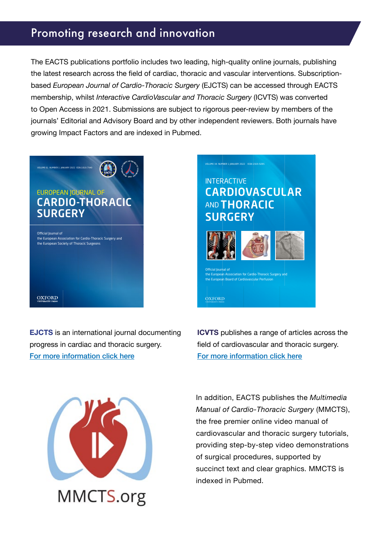#### Promoting research and innovation

The EACTS publications portfolio includes two leading, high-quality online journals, publishing the latest research across the field of cardiac, thoracic and vascular interventions. Subscriptionbased *European Journal of Cardio-Thoracic Surgery* (EJCTS) can be accessed through EACTS membership, whilst *Interactive CardioVascular and Thoracic Surgery* (ICVTS) was converted to Open Access in 2021. Submissions are subject to rigorous peer-review by members of the journals' Editorial and Advisory Board and by other independent reviewers. Both journals have growing Impact Factors and are indexed in Pubmed.

# EUROPEAN JOURNAL OF CARDIO-THORACIC **SURGERY**

VOLUME 61 NUMBER 1 JANUARY 2022 ISSN 1010-7940

Official Journal of the European European Institution<br>Interval association for Cardio-Thoracic Surgery and .<br>the European Society of Thoracic Surgeons

**OXFORD** 

**EJCTS** is an international journal documenting progress in cardiac and thoracic surgery. [For more information click here](http://www.academic.oup.com/ejcts)

#### **INTERACTIVE** CARDIOVASCULAR **AND THORACIC** SURGERY VOLUME 34 NUMBER 1 JANUARY 2022 ISSN 1569-9285



Official Journal of the European Association for Cardio-Thoracic Surgery and the European Board of Cardiovascular Perfusion

**OXFORD** 

**ICVTS** publishes a range of articles across the field of cardiovascular and thoracic surgery. [For more information click here](http://www.academic.oup.com/icvts/)

MMCTS.org

In addition, EACTS publishes the *Multimedia Manual of Cardio-Thoracic Surgery* (MMCTS), the free premier online video manual of cardiovascular and thoracic surgery tutorials, providing step-by-step video demonstrations of surgical procedures, supported by succinct text and clear graphics. MMCTS is indexed in Pubmed.